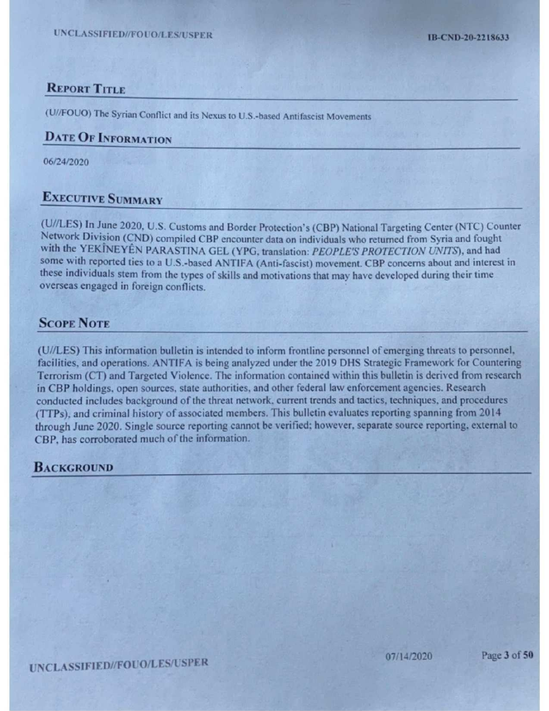### **REPORT TITLE REPORT TITLE**

(U//FOUO) The Syrian Conflict and its Nexus to U.S.-based Antifascist Movements

# DATE OF INFORMATION

(U//LES) In June 2020, U.S. Customs and Border Protection's (CBP) National Targeting Center (NTC) Counter Network Division (CND) compiled CBP encounter data on individuals who returned from Syria and fought with the YEKINEYÊN PARASTINA GEL (YPG, translation: PEOPLE'S PROTECTION UNITS), and had some with reported ties to a U.S.-based ANTIFA (Anti-fascist) movement. CBP concerns about and interest in these individuals stem from the types of skills and motivations that may have developed during their time overseas engaged in foreign conflicts. UNCLASSIFIED//FOUO/LES/USPER<br>
IB-CND-20-2118633<br>
REPORT TITLE<br>
(U//FOUO) The Syrian Conflict and its Nexus to U.S.-based Amifascist Movements<br>
DATE OF INFORMATION<br>
06/24/2020<br>
EXECUTIVE SUMMARY<br>
(U//LES) In June 2020, U.S.

### **SCOPE NOTE**

ler Protection's (CBP) National Targeting Center (NTC) Countenter data on individuals who returned from Syria and fought<br>
To Caranation: *PEOPLES'B PROTECTION UNITS*), and had fought<br>
A (Anti-fascist) movement. CBP concern (U//LES)This information bulletin is intended to inform frontline personnel of emerging threats to personnel, facilities, and operations. ANTIFA is being analyzed under the 2019 DHS Strategic Framework for Countering Terrorism (CT) and Targeted Violence. The information contained within this bulletin is derived from research in CBP holdings, open sources, state authorities, and other federal law enforcement agencies. Research conducted includes background of the threat network, current trends and tactics, techniques, and procedures (TTPs), and criminal history of associated members. This bulletin evaluates reporting spanning from 2014 through June 2020. Single source reporting cannot be verified; however, separate source reporting, external to CBP, has corroborated much of the information. **EXECUTIVE SYSTEM CONTROL CONTROL**<br> **EXECUTIVE SYSTEM CONTROL**<br>
CONTOUR System Conflict and in Neuma to U.S. Jones Antifacture Movements<br>
DATE OF INTOKENTIVE SUNDATED (SURFACUTIVE SURFACUTE)<br>
CONTROL CONTROL CONTROL CONTR

## **BACKGROUND**

/USPEI<br>|<br>| UNCLASSIFIED//FOUO/LES/USPER 07/14/2020 Page 3 of 50

Page 3 of 50

06/24/2020

# Executive SUMMARY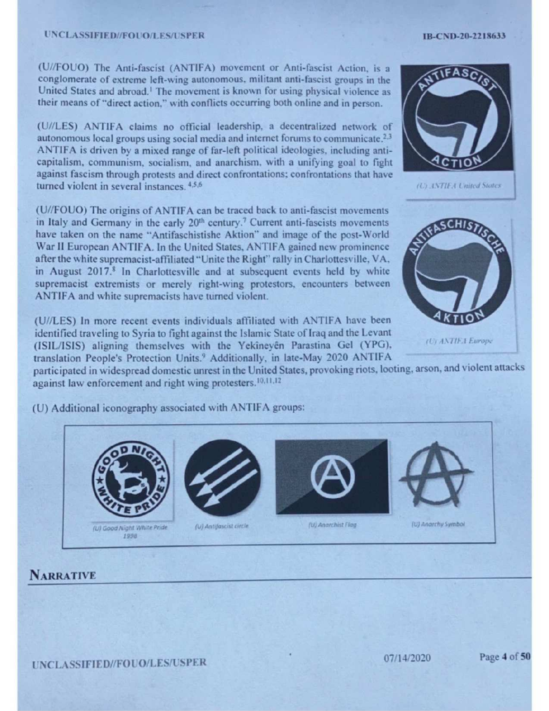### UNCLASSIFIED//FOUO/LES/USPER

(U/LES) ANTIFA claims no official leadership, <sup>a</sup> decentralized network of autonomous local groups using social media and internet forums to communicate.<sup>2,3</sup> ANTIFA is driven by a mixed range of far-left political ideologies, including anticapitalism, communism, socialism, and anarchism, with a unifying goal to fight against fascism through protests and direct confrontations; confrontations that have turned violent in several instances. 4,5,6

(U//FOUO) The origins of ANTIFA can be traced back to anti-fascist movements in Italy and Germany in the early 20<sup>th</sup> century.<sup>7</sup> Current anti-fascists movements have taken on the name "Antifaschistishe Aktion" and image of the post-World War II European ANTIFA. In the United States, ANTIFA gained new prominence after the white supremacist-affiliated "Unite the Right"rally in Charlottesville, VA, in August 2017.<sup>8</sup> In Charlottesville and at subsequent events held by white supremacist extremists or merely right-wing protestors, encounters between ANTIFA and white supremacists have turned violent. D//FOUO/LES/USPER<br>
Anti-fascist (ANTIFA) movement or Anti-fascist Action, is a<br>
extreme left-wing autonomous, militant anti-fascist groups in the<br>
al abroad.<sup>1</sup>The movement is known for using physical violence as<br>
lierct

(U//FOUO) The Anti-fascist (ANTIFA) movement or Anti-fascist Action, is a conglomerate of extreme left-wing autonomous, militant anti-fascist groups in the United States and abroad.' The movement is known for using physical violence as their means of"direct action," with conflicts occurring both online and in person.

(U//LES) In more recent events individuals affiliated with ANTIFA have been identified traveling to Syria to fight against the Islamic State of Iraq and the Levant (ISIL/ISIS) aligning themselves with the Yekineyén Parastina Gel (YPG), translation People's Protection Units.' Additionally, in late-May 2020 ANTIFA

participated in widespread domestic unrest in the United States, provoking riots, looting, arson, and violent attacks





### IB-CND-20-2218633

Uy ANTIF.A Europe

against law enforcement and right wing protesters.<sup>10,11,12</sup>



UNCLASSIFIED//FOUO/LES/USPER 07/14/2020 Page 4 of 50

(U) Additional iconography associated with ANTIFA groups: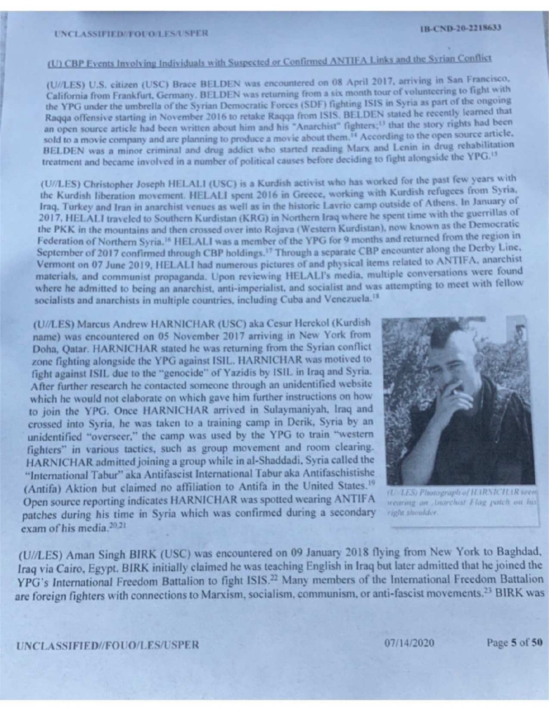(U//LES) U.S.citizen (USC) Brace BELDEN was encountered on <sup>08</sup> April 2017, arriving in San Francisco, California from Frankfurt, Germany. BELDEN was returning from a six month tour of volunteering to fight with the YPG under the umbrella of the Syrian Democratic Forces (SDF) fighting ISIS in Syria as part of the ongoing Raqqa offensive starting in November 2016 to retake Raqqa from ISIS. BELDEN stated he recently learned that an open source article had been written about him and his "Anarchist" fighters;<sup>13</sup> that the story rights had been sold to a movie company and are planning to produce a movie about them.<sup>14</sup> According to the open source article, BELDEN was <sup>a</sup> minor criminal and drug addict who started reading Marx and Lenin in drug rehabilitation treatment and became involved in a number of political causes before deciding to fight alongside the YPG.<sup>15</sup>

(U//LES) Christopher Joseph HELALI (USC) is <sup>a</sup> Kurdish activist who has worked for the past few years with the Kurdish liberation movement. HELALI spent 2016 in Greece, working with Kurdish refugees from Syria, the Kurdish Hberation movement. HELALI spent 2016 in Greece, working with Ride of Athens. In January of<br>Iraq, Turkey and Iran in anarchist venues as well as in the historic Lavrio camp outside of Athens. In January of 2017, HELALI traveled to Southern Kurdistan (KRG) in Northern Iraq where he spent time with the guerrillas of 2017, HELALI traveled to Southern Kurdistan (KRO) in Northern hay where he spence the Democratic<br>the PKK in the mountains and then crossed over into Rojava (Western Kurdistan), now known as the Democratic Federation of Northern Syria.<sup>16</sup> HELALI was a member of the YPG for 9 months and returned from the region in September of 2017 confirmed through CBP holdings.<sup>17</sup> Through a separate CBP encounter along the Derby Line, Vermont on 07 June 2019, HELALI had numerous pictures of and physical itemsrelated to ANTIFA, anarchist materials, and communist propaganda. Upon reviewing HELALI's media, multiple conversations were found where he admitted to being an anarchist, anti-imperialist, and socialist and was attempting to meet with fellow socialists and anarchists in multiple countries, including Cuba and Venezuela.<sup>18</sup>

**EX-CLASSIFIED-FOTO-L2-SUSFIRE (III)** ILLENSIFIED (III) ILLENSIFIED (III) ILLENSIFIED (III) ILLENSIFIED (III) ILLENSIFIED (III) ILLENSIFIED (III) ILLENSIFIED (III) ILLENSIFIED (III) ILLENSIFIED (III) ILLENSIFIED (III) ILL (U//LES) Marcus Andrew HARNICHAR(USC) aka Cesur Herekol (Kurdish name) was encountered on 05 November 2017 arriving in New York from Doha, Qatar. HARNICHAR stated he was returning from the Syrian conflict zone fighting alongside the YPG against ISIL. HARNICHAR was motived to fight against ISIL due to the "genocide" of Yazidis by ISIL in Iraq and Syria. After further research he contacted someone through an unidentified website which he would not elaborate on which gave him further instructions on how to join the YPG. Once HARNICHAR arrived in Sulaymaniyah, Iraq and crossed into Syria, he was taken to a training camp in Derik, Syria by an unidentified "overseer," the camp was used by the YPG to train "western fighters" in various tactics, such as group movement and room clearing. HARNICHAR admitted joining a group while in al-Shaddadi, Syria called the "International Tabur" aka Antifascist International Tabur aka Antifaschistishe (Antifa) Aktion but claimed no affiliation to Antifa in the United States.<sup>19</sup> Open source reporting indicates HARNICHAR was spotted wearing ANTIFA TURES Photograph of ILIRNICILIR seem patches during his time in Syria which was confirmed during a secondary right shoulder.  $20.21$  $exam$  of his media,  $20,21$ 



(U//LES) Aman Singh BIRK (USC) was encountered on 09 January 2018 flying from New York to Baghdad, Iraq via Cairo, Egypt. BIRK initially claimed he was teaching English in Iraq but later admitted that he joined the YPG's International Freedom Battalion to fight ISIS.<sup>22</sup> Many members of the International Freedom Battalion are foreign fighters with connections to Marxism, socialism, communism, or anti-fascist movements.<sup>23</sup> BIRK was

UNCLASSIFIED//FOUO/LES/USPER 07/14/2020 Page 5 of 50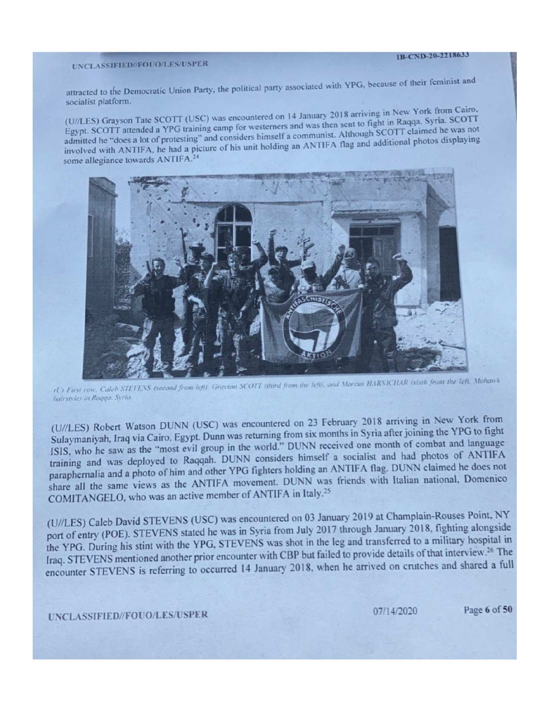# UNCLASSIFIED//FOUO/LES/USPER<br>
UNCLASSIFIED//FOUO/LES/USPER

attracted to the Democratic Union Party, the political party associated with YPG, because of their feminist and socialist platform.

(U//LES) Grayson Tate SCOTT (USC) was encountered on 14 January 2018 arriving in New York from Cairo, Egypt. SCOTT attended a YPG training camp for westerners and was then sent to fight in Raqqa, Syria. SCOTT Egypt. SCOTT attended a YPG training camp for westerners and was then sent to right in reader he was not admitted he "does a lot of protesting" and considers himself a communist. Although SCOTT claimed he was not involved with ANTIFA, he had a picture of his unit holding an ANTIFA flag and additional photos displaying some allegiance towards ANTIFA.<sup>24</sup>

(U) First row, Caleb STEVENS (second from left). Gravson SCOTT (third from the left), and Marcus HARNICHAR (sixth from the left. Mohawk hairstvies in Ragga. Syria.

(U//LES) Robert Watson DUNN (USC) was encountered on <sup>23</sup> February <sup>2018</sup> arriving in New York from Sulaymaniyah, Iraq via Cairo, Egypt. Dunn was returning from six months in Syria after joining the YPG to fight ISIS, who he saw as the "most evil group in the world." DUNN received one month of combat and language training and was deployed to Raqqah. DUNN considers himself <sup>a</sup> socialist and had photos of ANTIFA paraphernalia and a photo of him and other YPG fighters holding an ANTIFA flag. DUNN claimed he does not share all the same views as the ANTIFA movement. DUNN was friends with Italian national, Domenico COMITANGELO, who was an active member of ANTIFA in Italy.<sup>25</sup>

(U//LES) Caleb David STEVENS (USC) was encountered on 03 January 2019 at Champlain-Rouses Point, NY port of entry (POE). STEVENS stated he was in Syria from July 2017 through January 2018, fighting alongside the YPG. During his stint with the YPG, STEVENS was shot in the leg and transferred to a military hospital in Iraq. STEVENS mentioned another prior encounter with CBP but failed to provide details of that interview.<sup>26</sup> The Iraq. STEVENS mentioned another prior encounter with CBT but taken to prive to prior on crutches and shared a full<br>encounter STEVENS is referring to occurred 14 January 2018, when he arrived on crutches and shared a full

07/14/2020 Page 6 of 50

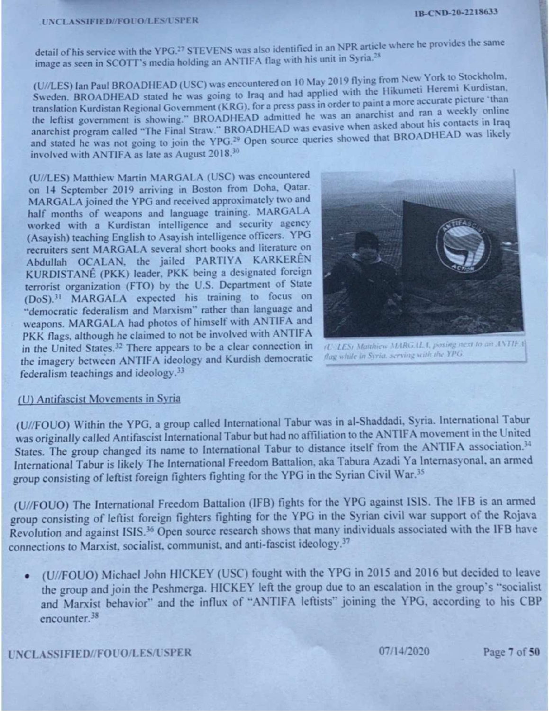detail of his service with the YPG.<sup>27</sup> STEVENS was also identified in an NPR article where he provides the same image as seen in SCOTT's media holding an ANTIFA flag with his unit in Syria.<sup>28</sup>

(U//LES) Ian Paul BROADHEAD (USC) was encountered on 10 May 2019 flying from New York to Stockholm, Sweden. BROADHEAD stated he was going to Iraq and had applied with the Hikumeti Heremi Kurdistan, translation Kurdistan Regional Government (KRG), for a press pass in order to paint a more accurate picture 'than translation Kurdistan Regional Government (KRG), for a press pass in order to part is and ran a weekly online<br>the leftist government is showing." BROADHEAD admitted he was an anarchist and ran a weekly online Ine lettist government is snowing. BROADHEAD was evasive when asked<br>anarchist program called "The Final Straw." BROADHEAD was evasive when asked and stated he was not going to join the YPG.<sup>29</sup> Open source queries showed that BROADHEAD was likely involved with ANTIFA as late as August 2018.<sup>30</sup> about his contacts in Iraq ROADHEAD was likely

(U//LES) Matthiew Martin MARGALA (USC) was encountered on 14 September 2019 arriving in Boston from Doha, Qatar. MARGALA joined the YPG and received approximately two and half months of weapons and language training. MARGALA worked with a Kurdistan intelligence and security agency (Asayish) teaching English to Asayish intelligence officers. YPG recruiters sent MARGALA several short books and literature on Abdullah OCALAN, the jailed PARTIYA KARKEREN KURDISTANE (PKK) leader, PKK being a designated foreign terrorist organization (FTO) by the U.S. Department of State (DoS)! MARGALA expected his training to focus on "democratic federalism and Marxism" rather than language and weapons. MARGALA had photos of himself with ANTIFA and PKK flags, although he claimed to not be involved with ANTIFA in the United States.<sup>32</sup> There appears to be a clear connection in  $\frac{1}{100}$  Matthiew MARGALA, posing next to an ANTIFA the imagery between ANTIFA ideology and Kurdish democratic federalism teachings and ideology.<sup>33</sup>



### (U) Antifascist Movements in Syria

(U//FOUO) Within the YPG, a group called International Tabur was in al-Shaddadi, Syria. International Tabur was originally called Antifascist International Tabur but had no affiliation to the ANTIFA movement in the United States. The group changed its name to International Tabur to distance itself from the ANTIFA association.<sup>34</sup> International Tabur is likely The International Freedom Battalion, aka Tabura Azadi Ya Internasyonal, an armed group consisting of leftist foreign fighters fighting for the YPG in the Syrian Civil War.<sup>35</sup> *C. LES) Mathies MARGALA, posing neat to an AVIIFA*<br>*C. LES) Mathies MARGALA, posing neat to an AVIIFA*<br>*hag while in Syria serving with the YPG.*<br>vas in al-Shaddadi, Syria. International Tabu<br>aition to the ANTIFA movement

(U//FOUO) The International Freedom Battalion (IFB) fights for the YPG against ISIS. The IFB is an armed group consisting of leftist foreign fighters fighting for the YPG in the Syrian civil war support of the Rojava Revolution and against ISIS.<sup>36</sup> Open source research shows that many individuals associated with the IFB have connections to Marxist, socialist, communist, and anti-fascist ideology.<sup>37</sup>

¢ (U//FOUO) Michael John HICKEY (USC) fought with the YPG in 2015 and 2016 but decided to leave the group and join the Peshmerga. HICKEY left the group due to an escalation in the group's "socialist and Marxist behavior" and the influx of "ANTIFA leftists" joining the YPG, according to his CBP encounter.<sup>38</sup>

UNCLASSIFIED//FOUO/LES/USPER 07/14/2020 Page 7 of 50